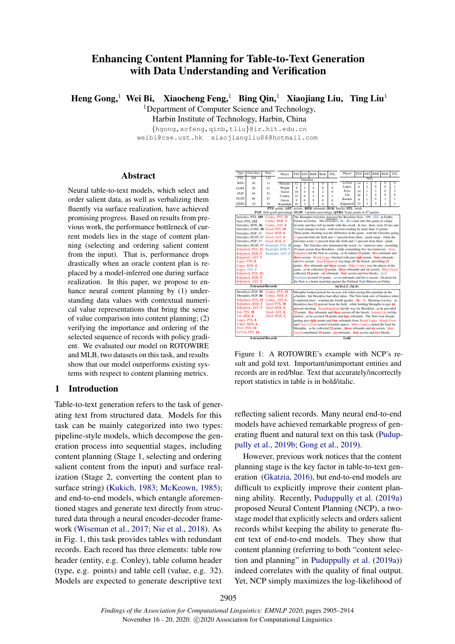# Enhancing Content Planning for Table-to-Text Generation with Data Understanding and Verification

Heng Gong,<sup>1</sup> Wei Bi, Xiaocheng Feng,<sup>1</sup> Bing Qin,<sup>1</sup> Xiaojiang Liu, Ting Liu<sup>1</sup>

<sup>1</sup>Department of Computer Science and Technology,

Harbin Institute of Technology, Harbin, China

{hgong,xcfeng,qinb,tliu}@ir.hit.edu.cn weibi@cse.ust.hk xiaojiangliu84@hotmail.com

#### Abstract

Neural table-to-text models, which select and order salient data, as well as verbalizing them fluently via surface realization, have achieved promising progress. Based on results from previous work, the performance bottleneck of current models lies in the stage of content planning (selecting and ordering salient content from the input). That is, performance drops drastically when an oracle content plan is replaced by a model-inferred one during surface realization. In this paper, we propose to enhance neural content planning by (1) understanding data values with contextual numerical value representations that bring the sense of value comparison into content planning; (2) verifying the importance and ordering of the selected sequence of records with policy gradient. We evaluated our model on ROTOWIRE and MLB, two datasets on this task, and results show that our model outperforms existing systems with respect to content planning metrics.

## <span id="page-0-1"></span>1 Introduction

Table-to-text generation refers to the task of generating text from structured data. Models for this task can be mainly categorized into two types: pipeline-style models, which decompose the generation process into sequential stages, including content planning (Stage 1, selecting and ordering salient content from the input) and surface realization (Stage 2, converting the content plan to surface string) [\(Kukich,](#page-8-0) [1983;](#page-8-0) [McKeown,](#page-8-1) [1985\)](#page-8-1); and end-to-end models, which entangle aforementioned stages and generate text directly from structured data through a neural encoder-decoder framework [\(Wiseman et al.,](#page-9-0) [2017;](#page-9-0) [Nie et al.,](#page-8-2) [2018\)](#page-8-2). As in Fig. [1,](#page-0-0) this task provides tables with redundant records. Each record has three elements: table row header (entity, e.g. Conley), table column header (type, e.g. points) and table cell (value, e.g. 32). Models are expected to generate descriptive text

<span id="page-0-0"></span>

| Type                     | Grizzlies                                 | Nets                          | Player                                                                                                                                                | <b>PTS</b>                                                                                                                                                                             | AST      | <b>REB</b> | <b>BLK</b>     | <b>STL</b> | Player                                                                            | PTS | AST            | <b>REB</b>     | <b>BLK</b>     | <b>STL</b>     |
|--------------------------|-------------------------------------------|-------------------------------|-------------------------------------------------------------------------------------------------------------------------------------------------------|----------------------------------------------------------------------------------------------------------------------------------------------------------------------------------------|----------|------------|----------------|------------|-----------------------------------------------------------------------------------|-----|----------------|----------------|----------------|----------------|
| PTS                      | 109                                       | 122                           | Grizzlies                                                                                                                                             |                                                                                                                                                                                        |          |            | <b>Nets</b>    |            |                                                                                   |     |                |                |                |                |
| WIN                      | 36                                        | 11<br>Parsons                 |                                                                                                                                                       | 12                                                                                                                                                                                     | 3        | ı          | 0              | 1          | LeVert                                                                            | 14  | 1              | 3              | $\bf{0}$       | 0              |
| LOSS                     | 28                                        | 51                            | Wright                                                                                                                                                | 9                                                                                                                                                                                      | L        | 4          | 0              | 0          | Lopez                                                                             | 8   | $\overline{2}$ | 4              | 0              | 1              |
| FGP                      | 44                                        | 53                            | Gasol                                                                                                                                                 | 18                                                                                                                                                                                     | 4        | 6          | $\overline{c}$ | $\theta$   | Foye                                                                              | 14  | 1              | 3              | 0              | $\overline{2}$ |
| FG3P                     | 40                                        | 47                            | Conley                                                                                                                                                | 32                                                                                                                                                                                     | 6        | 3          | $\theta$       | 1          | Lin                                                                               | 18  | 1              | $\overline{4}$ | $\overline{0}$ | $\theta$       |
|                          |                                           |                               | Green                                                                                                                                                 | $\mathbf Q$                                                                                                                                                                            | $\Omega$ | 9          | $\Omega$       | O          | Booker                                                                            | 8   | 1              | 9              | 1              | 1              |
| OTR4                     | 18                                        | 34                            | Randolph                                                                                                                                              | 10                                                                                                                                                                                     | 3        | 7          | $\Omega$       | 0          | Kilpatrick                                                                        | 23  | 3              | 5              | 1              | 1              |
|                          |                                           |                               |                                                                                                                                                       | PTS: points, AST: assists, REB: rebounds, BLK: blocks, STL: steals<br>FGP: field goals percentage, FG3P: 3-pointer percentage, OTR4: Team points in 4th quarter                        |          |            |                |            |                                                                                   |     |                |                |                |                |
|                          |                                           |                               |                                                                                                                                                       |                                                                                                                                                                                        |          |            |                |            |                                                                                   |     |                |                |                |                |
|                          | Grizzlies, PTS, 109 Conley, PTS, 32       |                               |                                                                                                                                                       |                                                                                                                                                                                        |          |            |                |            | The Memphis Grizzlies defeated the Brooklyn Nets , 109 - 122, at FedEx            |     |                |                |                |                |
|                          | Nets, PTS, 122                            | Conley, REB, 3                |                                                                                                                                                       |                                                                                                                                                                                        |          |            |                |            | Forum on Friday . The Grizzlies $(36 - 28)$ came into this game as a huge         |     |                |                |                |                |
|                          | Grizzlies, WIN, 36                        | Conley, AST. 6                |                                                                                                                                                       |                                                                                                                                                                                        |          |            |                |            | favorite and they left no doubt with this result. In fact, there were 10 ties and |     |                |                |                |                |
|                          | Grizzlies, LOSS, 28 Gasol, PTS, 18        |                               |                                                                                                                                                       |                                                                                                                                                                                        |          |            |                |            | 11 lead changes in total, with no team leading by more than 12 points.            |     |                |                |                |                |
|                          | Grizzlies, FGP, 53                        | Gasol, REB, 6                 |                                                                                                                                                       |                                                                                                                                                                                        |          |            |                |            | Three-point shooting was the difference in the game, with the Grizzlies going     |     |                |                |                |                |
|                          | Grizzlies, FG3P, 47<br>Grizzlies, FGP, 53 | Gasol, AST, 4<br>Gasol, BLK.2 |                                                                                                                                                       | $53$ percent from the field and $47$ percent from three - point range, while the                                                                                                       |          |            |                |            |                                                                                   |     |                |                |                |                |
|                          | Grizzlies, FG3P, 47                       |                               | Randolph, PTS, 10                                                                                                                                     | Grizzlies went $\frac{53}{9}$ percent from the field and $\frac{47}{9}$ percent from three - point<br>range . The Grizzlies also dominated the assist - to - turnover ratio, recording |          |            |                |            |                                                                                   |     |                |                |                |                |
|                          | Kilpatrick, PTS, 23                       |                               | Randolph, REB, 7                                                                                                                                      | 10 more assists than Brooklyn, while committing five less turnovers. Sean                                                                                                              |          |            |                |            |                                                                                   |     |                |                |                |                |
|                          | Kilpatrick, REB, 5                        |                               | Randolph, AST, 3                                                                                                                                      | Kilpatrick led the Nets in scoring, as he tallied 23 points, five rebounds and                                                                                                         |          |            |                |            |                                                                                   |     |                |                |                |                |
|                          | Kilpatrick, AST, 3                        |                               |                                                                                                                                                       | three assists . Brook Lopez finished with just eight points , four rebounds                                                                                                            |          |            |                |            |                                                                                   |     |                |                |                |                |
|                          | Lopez, PTS, 8                             |                               |                                                                                                                                                       | and two assists . Sean Kilpatrick was huge off the bench, providing 23                                                                                                                 |          |            |                |            |                                                                                   |     |                |                |                |                |
|                          | Lopez, REB, 4                             |                               |                                                                                                                                                       | points , five rebounds and three assists . Mike Conley was the player of the                                                                                                           |          |            |                |            |                                                                                   |     |                |                |                |                |
|                          | Lopez, AST, 2                             |                               |                                                                                                                                                       | game, as he collected 32 points, three rebounds and six assists. Marc Gasol                                                                                                            |          |            |                |            |                                                                                   |     |                |                |                |                |
| Kilpatrick, PTS, 23      |                                           |                               |                                                                                                                                                       | collected 18 points, six rebounds, four assists and two blocks. Zach                                                                                                                   |          |            |                |            |                                                                                   |     |                |                |                |                |
| Kilpatrick, REB, 5       |                                           |                               | Randolph accrued 10 points, seven rebounds and three assists. On deck for<br>the Nets is a home matchup against the Portland Trail Blazers on Friday. |                                                                                                                                                                                        |          |            |                |            |                                                                                   |     |                |                |                |                |
|                          | Kilpatrick, AST, 3                        |                               |                                                                                                                                                       |                                                                                                                                                                                        |          |            |                |            |                                                                                   |     |                |                |                |                |
|                          |                                           | <b>Extracted Records</b>      |                                                                                                                                                       | <b>NCP+CC</b> (NCP)                                                                                                                                                                    |          |            |                |            |                                                                                   |     |                |                |                |                |
|                          | Brooklyn, FGP, 53                         | Conley, PTS, 32               |                                                                                                                                                       |                                                                                                                                                                                        |          |            |                |            | Memphis looked poised for an easy win when seeing this matchup on the             |     |                |                |                |                |
|                          | Memphis, FGP, 44                          | Conley, REB, 3                |                                                                                                                                                       |                                                                                                                                                                                        |          |            |                |            | schedule, but Brooklyn had other ideas. The Nets took care of business when       |     |                |                |                |                |
|                          | Kilpatrick, PTS, 23                       | Conley, AST, 6                |                                                                                                                                                       |                                                                                                                                                                                        |          |            |                |            | it mattered most, winning the fourth quarter $34 - 19$ . Shooting was key, as     |     |                |                |                |                |
|                          | Kilpatrick, REB, 5                        | Gasol, PTS, 18                |                                                                                                                                                       |                                                                                                                                                                                        |          |            |                |            | Brooklyn shot 53 percent from the field, while holding Memphis to just 44         |     |                |                |                |                |
|                          | Kilpatrick, AST, 3                        | Gasol, REB. 6                 |                                                                                                                                                       | percent shooting . Sean Kilpatrick led the way for Brooklyn, as he provided                                                                                                            |          |            |                |            |                                                                                   |     |                |                |                |                |
| Lin. PTS. 18             |                                           | Gasol, AST, 4                 |                                                                                                                                                       | 23 points, five rebounds and three assists off the bench. Jeremy Lin led the                                                                                                           |          |            |                |            |                                                                                   |     |                |                |                |                |
| Lin. REB. 4              |                                           | Gasol, BLK, 2                 | starters, as he accrued 18 points and four rebounds. The Nets won despite                                                                             |                                                                                                                                                                                        |          |            |                |            |                                                                                   |     |                |                |                |                |
| Lopez, PTS, 8            |                                           |                               | getting just eight points and four rebounds from Brook Lopez . Randy Foye                                                                             |                                                                                                                                                                                        |          |            |                |            |                                                                                   |     |                |                |                |                |
| Lopez, REB, 4            |                                           |                               |                                                                                                                                                       | and Caris LeVert scored 14 points apiece . Mike Conley carried the load for                                                                                                            |          |            |                |            |                                                                                   |     |                |                |                |                |
| Foye, PTS, 14            |                                           |                               |                                                                                                                                                       | Memphis, as he collected 32 points, three rebounds and six assists. Marc                                                                                                               |          |            |                |            |                                                                                   |     |                |                |                |                |
|                          | LeVert, PTS, 14                           |                               |                                                                                                                                                       | Gasol contributed 18 points, six rebounds, four assists and two blocks.                                                                                                                |          |            |                |            |                                                                                   |     |                |                |                |                |
| <b>Extracted Records</b> |                                           |                               |                                                                                                                                                       |                                                                                                                                                                                        |          |            |                |            | Gold                                                                              |     |                |                |                |                |

Figure 1: A ROTOWIRE's example with NCP's result and gold text. Important/unimportant entities and records are in red/blue. Text that accurately/incorrectly report statistics in table is in bold/italic.

reflecting salient records. Many neural end-to-end models have achieved remarkable progress of generating fluent and natural text on this task [\(Pudup](#page-9-1)[pully et al.,](#page-9-1) [2019b;](#page-9-1) [Gong et al.,](#page-8-3) [2019\)](#page-8-3).

However, previous work notices that the content planning stage is the key factor in table-to-text generation [\(Gkatzia,](#page-8-4) [2016\)](#page-8-4), but end-to-end models are difficult to explicitly improve their content planning ability. Recently, [Puduppully et al.](#page-8-5) [\(2019a\)](#page-8-5) proposed Neural Content Planning (NCP), a twostage model that explicitly selects and orders salient records whilst keeping the ability to generate fluent text of end-to-end models. They show that content planning (referring to both "content selection and planning" in [Puduppully et al.](#page-8-5) [\(2019a\)](#page-8-5)) indeed correlates with the quality of final output. Yet, NCP simply maximizes the log-likelihood of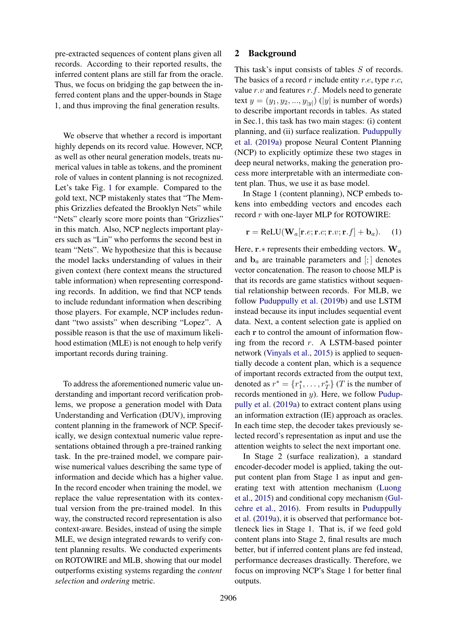pre-extracted sequences of content plans given all records. According to their reported results, the inferred content plans are still far from the oracle. Thus, we focus on bridging the gap between the inferred content plans and the upper-bounds in Stage 1, and thus improving the final generation results.

We observe that whether a record is important highly depends on its record value. However, NCP, as well as other neural generation models, treats numerical values in table as tokens, and the prominent role of values in content planning is not recognized. Let's take Fig. [1](#page-0-0) for example. Compared to the gold text, NCP mistakenly states that "The Memphis Grizzlies defeated the Brooklyn Nets" while "Nets" clearly score more points than "Grizzlies" in this match. Also, NCP neglects important players such as "Lin" who performs the second best in team "Nets". We hypothesize that this is because the model lacks understanding of values in their given context (here context means the structured table information) when representing corresponding records. In addition, we find that NCP tends to include redundant information when describing those players. For example, NCP includes redundant "two assists" when describing "Lopez". A possible reason is that the use of maximum likelihood estimation (MLE) is not enough to help verify important records during training.

To address the aforementioned numeric value understanding and important record verification problems, we propose a generation model with Data Understanding and Verfication (DUV), improving content planning in the framework of NCP. Specifically, we design contextual numeric value representations obtained through a pre-trained ranking task. In the pre-trained model, we compare pairwise numerical values describing the same type of information and decide which has a higher value. In the record encoder when training the model, we replace the value representation with its contextual version from the pre-trained model. In this way, the constructed record representation is also context-aware. Besides, instead of using the simple MLE, we design integrated rewards to verify content planning results. We conducted experiments on ROTOWIRE and MLB, showing that our model outperforms existing systems regarding the *content selection* and *ordering* metric.

# 2 Background

This task's input consists of tables S of records. The basics of a record r include entity r.e, type r.c, value  $r.v$  and features  $r.f.$  Models need to generate text  $y = (y_1, y_2, ..., y_{|y|})$  (|y| is number of words) to describe important records in tables. As stated in Sec[.1,](#page-0-1) this task has two main stages: (i) content planning, and (ii) surface realization. [Puduppully](#page-8-5) [et al.](#page-8-5) [\(2019a\)](#page-8-5) propose Neural Content Planning (NCP) to explicitly optimize these two stages in deep neural networks, making the generation process more interpretable with an intermediate content plan. Thus, we use it as base model.

In Stage 1 (content planning), NCP embeds tokens into embedding vectors and encodes each record r with one-layer MLP for ROTOWIRE:

<span id="page-1-0"></span>
$$
\mathbf{r} = \text{ReLU}(\mathbf{W}_a[\mathbf{r}.e; \mathbf{r}.c; \mathbf{r}.v; \mathbf{r}.f] + \mathbf{b}_a). \quad (1)
$$

Here,  $\mathbf{r}.*$  represents their embedding vectors.  $\mathbf{W}_a$ and  $\mathbf{b}_a$  are trainable parameters and  $[:,]$  denotes vector concatenation. The reason to choose MLP is that its records are game statistics without sequential relationship between records. For MLB, we follow [Puduppully et al.](#page-9-1) [\(2019b\)](#page-9-1) and use LSTM instead because its input includes sequential event data. Next, a content selection gate is applied on each r to control the amount of information flowing from the record  $r$ . A LSTM-based pointer network [\(Vinyals et al.,](#page-9-2) [2015\)](#page-9-2) is applied to sequentially decode a content plan, which is a sequence of important records extracted from the output text, denoted as  $r^* = \{r_1^*, \dots, r_T^*\}$  (*T* is the number of records mentioned in  $y$ ). Here, we follow [Pudup](#page-8-5)[pully et al.](#page-8-5) [\(2019a\)](#page-8-5) to extract content plans using an information extraction (IE) approach as oracles. In each time step, the decoder takes previously selected record's representation as input and use the attention weights to select the next important one.

In Stage 2 (surface realization), a standard encoder-decoder model is applied, taking the output content plan from Stage 1 as input and generating text with attention mechanism [\(Luong](#page-8-6) [et al.,](#page-8-6) [2015\)](#page-8-6) and conditional copy mechanism [\(Gul](#page-8-7)[cehre et al.,](#page-8-7) [2016\)](#page-8-7). From results in [Puduppully](#page-8-5) [et al.](#page-8-5) [\(2019a\)](#page-8-5), it is observed that performance bottleneck lies in Stage 1. That is, if we feed gold content plans into Stage 2, final results are much better, but if inferred content plans are fed instead, performance decreases drastically. Therefore, we focus on improving NCP's Stage 1 for better final outputs.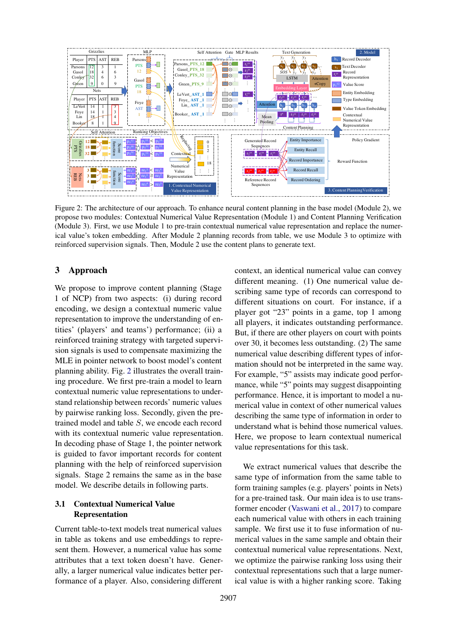<span id="page-2-0"></span>

Figure 2: The architecture of our approach. To enhance neural content planning in the base model (Module 2), we propose two modules: Contextual Numerical Value Representation (Module 1) and Content Planning Verification (Module 3). First, we use Module 1 to pre-train contextual numerical value representation and replace the numerical value's token embedding. After Module 2 planning records from table, we use Module 3 to optimize with reinforced supervision signals. Then, Module 2 use the content plans to generate text.

# 3 Approach

We propose to improve content planning (Stage 1 of NCP) from two aspects: (i) during record encoding, we design a contextual numeric value representation to improve the understanding of entities' (players' and teams') performance; (ii) a reinforced training strategy with targeted supervision signals is used to compensate maximizing the MLE in pointer network to boost model's content planning ability. Fig. [2](#page-2-0) illustrates the overall training procedure. We first pre-train a model to learn contextual numeric value representations to understand relationship between records' numeric values by pairwise ranking loss. Secondly, given the pretrained model and table S, we encode each record with its contextual numeric value representation. In decoding phase of Stage 1, the pointer network is guided to favor important records for content planning with the help of reinforced supervision signals. Stage 2 remains the same as in the base model. We describe details in following parts.

# 3.1 Contextual Numerical Value Representation

Current table-to-text models treat numerical values in table as tokens and use embeddings to represent them. However, a numerical value has some attributes that a text token doesn't have. Generally, a larger numerical value indicates better performance of a player. Also, considering different context, an identical numerical value can convey different meaning. (1) One numerical value describing same type of records can correspond to different situations on court. For instance, if a player got "23" points in a game, top 1 among all players, it indicates outstanding performance. But, if there are other players on court with points over 30, it becomes less outstanding. (2) The same numerical value describing different types of information should not be interpreted in the same way. For example, "5" assists may indicate good performance, while "5" points may suggest disappointing performance. Hence, it is important to model a numerical value in context of other numerical values describing the same type of information in order to understand what is behind those numerical values. Here, we propose to learn contextual numerical value representations for this task.

We extract numerical values that describe the same type of information from the same table to form training samples (e.g. players' points in Nets) for a pre-trained task. Our main idea is to use transformer encoder [\(Vaswani et al.,](#page-9-3) [2017\)](#page-9-3) to compare each numerical value with others in each training sample. We first use it to fuse information of numerical values in the same sample and obtain their contextual numerical value representations. Next, we optimize the pairwise ranking loss using their contextual representations such that a large numerical value is with a higher ranking score. Taking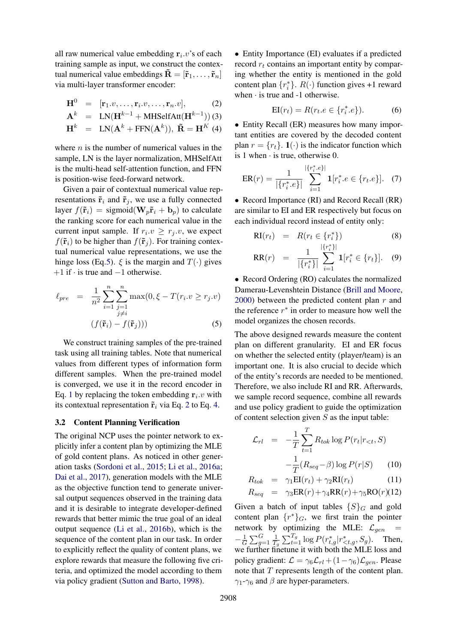all raw numerical value embedding  $r_i \cdot v$ 's of each training sample as input, we construct the contextual numerical value embeddings  $\mathbf{R} = [\mathbf{\tilde{r}}_1, \dots, \mathbf{\tilde{r}}_n]$ via multi-layer transformer encoder:

<span id="page-3-1"></span>
$$
\mathbf{H}^{0} = [\mathbf{r}_{1}.v, \ldots, \mathbf{r}_{i}.v, \ldots, \mathbf{r}_{n}.v], \qquad (2)
$$

$$
\mathbf{A}^{k} = \text{LN}(\mathbf{H}^{k-1} + \text{MHSelfAtt}(\mathbf{H}^{k-1}))
$$
(3)  

$$
\mathbf{H}^{k} = \text{LN}(\mathbf{A}^{k} + \text{FFN}(\mathbf{A}^{k})), \ \tilde{\mathbf{R}} = \mathbf{H}^{K}
$$
(4)

where  $n$  is the number of numerical values in the sample, LN is the layer normalization, MHSelfAtt is the multi-head self-attention function, and FFN is position-wise feed-forward network.

Given a pair of contextual numerical value representations  $\tilde{\mathbf{r}}_i$  and  $\tilde{\mathbf{r}}_j$ , we use a fully connected layer  $f(\tilde{\mathbf{r}}_i)$  = sigmoid( $\mathbf{W}_p \tilde{\mathbf{r}}_i + \mathbf{b}_p$ ) to calculate the ranking score for each numerical value in the current input sample. If  $r_i \cdot v \geq r_j \cdot v$ , we expect  $f(\tilde{\mathbf{r}}_i)$  to be higher than  $f(\tilde{\mathbf{r}}_i)$ . For training contextual numerical value representations, we use the hinge loss (Eq[.5\)](#page-3-0).  $\xi$  is the margin and  $T(\cdot)$  gives  $+1$  if  $\cdot$  is true and  $-1$  otherwise.

<span id="page-3-0"></span>
$$
\ell_{pre} = \frac{1}{n^2} \sum_{i=1}^{n} \sum_{\substack{j=1 \ j \neq i}}^{n} \max(0, \xi - T(r_i \cdot v \ge r_j \cdot v))
$$

$$
(f(\tilde{\mathbf{r}}_i) - f(\tilde{\mathbf{r}}_j)))
$$
(5)

We construct training samples of the pre-trained task using all training tables. Note that numerical values from different types of information form different samples. When the pre-trained model is converged, we use it in the record encoder in Eq. [1](#page-1-0) by replacing the token embedding  $r_i \, v$  with its contextual representation  $\tilde{\mathbf{r}}_i$  via Eq. [2](#page-3-1) to Eq. [4.](#page-3-1)

## 3.2 Content Planning Verification

The original NCP uses the pointer network to explicitly infer a content plan by optimizing the MLE of gold content plans. As noticed in other generation tasks [\(Sordoni et al.,](#page-9-4) [2015;](#page-9-4) [Li et al.,](#page-8-8) [2016a;](#page-8-8) [Dai et al.,](#page-8-9) [2017\)](#page-8-9), generation models with the MLE as the objective function tend to generate universal output sequences observed in the training data and it is desirable to integrate developer-defined rewards that better mimic the true goal of an ideal output sequence [\(Li et al.,](#page-8-10) [2016b\)](#page-8-10), which is the sequence of the content plan in our task. In order to explicitly reflect the quality of content plans, we explore rewards that measure the following five criteria, and optimized the model according to them via policy gradient [\(Sutton and Barto,](#page-9-5) [1998\)](#page-9-5).

• Entity Importance (EI) evaluates if a predicted record  $r_t$  contains an important entity by comparing whether the entity is mentioned in the gold content plan  $\{r_i^*\}$ .  $R(\cdot)$  function gives +1 reward when  $\cdot$  is true and -1 otherwise.

$$
EI(r_t) = R(r_t.e \in \{r_i^*, e\}).
$$
 (6)

• Entity Recall (ER) measures how many important entities are covered by the decoded content plan  $r = \{r_t\}$ .  $\mathbf{1}(\cdot)$  is the indicator function which is 1 when  $\cdot$  is true, otherwise 0.

$$
ER(r) = \frac{1}{|\{r_i^*, e\}|} \sum_{i=1}^{|\{r_i^*, e\}|} \mathbf{1}[r_i^*, e \in \{r_t, e\}]. \tag{7}
$$

• Record Importance (RI) and Record Recall (RR) are similar to EI and ER respectively but focus on each individual record instead of entity only:

$$
RI(r_t) = R(r_t \in \{r_i^*\})
$$
\n(8)

$$
RR(r) = \frac{1}{|\{r_i^*\}|} \sum_{i=1}^{|\{r_i^*\}|} \mathbf{1}[r_i^* \in \{r_t\}]. \quad (9)
$$

• Record Ordering (RO) calculates the normalized Damerau-Levenshtein Distance [\(Brill and Moore,](#page-8-11)  $2000$ ) between the predicted content plan r and the reference  $r^*$  in order to measure how well the model organizes the chosen records.

The above designed rewards measure the content plan on different granularity. EI and ER focus on whether the selected entity (player/team) is an important one. It is also crucial to decide which of the entity's records are needed to be mentioned. Therefore, we also include RI and RR. Afterwards, we sample record sequence, combine all rewards and use policy gradient to guide the optimization of content selection given  $S$  as the input table:

$$
\mathcal{L}_{rl} = -\frac{1}{T} \sum_{t=1}^{T} R_{tok} \log P(r_t | r_{< t}, S)
$$

$$
-\frac{1}{T} (R_{seq} - \beta) \log P(r|S) \qquad (10)
$$

$$
R_{tok} = \gamma_1 EI(r_t) + \gamma_2 RI(r_t)
$$
 (11)

$$
R_{seq} = \gamma_3 ER(r) + \gamma_4 RR(r) + \gamma_5 RO(r)(12)
$$

Given a batch of input tables  $\{S\}_G$  and gold content plan  $\{r^*\}_G$ , we first train the pointer network by optimizing the MLE:  $\mathcal{L}_{gen}$  =  $-\frac{1}{6}$  $\frac{1}{G}\sum_{g=1}^G \frac{1}{T_g}$  $\frac{1}{T_g} \sum_{t=1}^{T_g} \log P(r_{t,g}^*|r_{\leq t,g}^*, S_g)$ . Then, we further finetune it with both the MLE loss and policy gradient:  $\mathcal{L} = \gamma_6 \mathcal{L}_{rl} + (1 - \gamma_6) \mathcal{L}_{gen}$ . Please note that  $T$  represents length of the content plan.  $\gamma_1$ - $\gamma_6$  and  $\beta$  are hyper-parameters.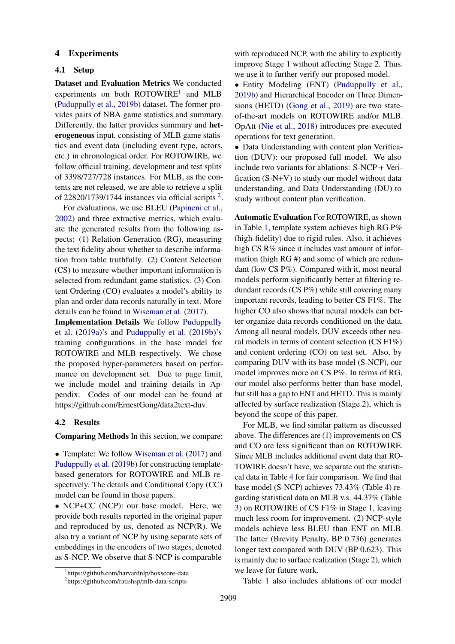## 4 Experiments

#### 4.1 Setup

Dataset and Evaluation Metrics We conducted experiments on both  $ROTOWIRE<sup>1</sup>$  $ROTOWIRE<sup>1</sup>$  $ROTOWIRE<sup>1</sup>$  and MLB [\(Puduppully et al.,](#page-9-1) [2019b\)](#page-9-1) dataset. The former provides pairs of NBA game statistics and summary. Differently, the latter provides summary and heterogeneous input, consisting of MLB game statistics and event data (including event type, actors, etc.) in chronological order. For ROTOWIRE, we follow official training, development and test splits of 3398/727/728 instances. For MLB, as the contents are not released, we are able to retrieve a split of [2](#page-4-1)2820/1739/1744 instances via official scripts  $2$ .

For evaluations, we use BLEU [\(Papineni et al.,](#page-8-12) [2002\)](#page-8-12) and three extractive metrics, which evaluate the generated results from the following aspects: (1) Relation Generation (RG), measuring the text fidelity about whether to describe information from table truthfully. (2) Content Selection (CS) to measure whether important information is selected from redundant game statistics. (3) Content Ordering (CO) evaluates a model's ability to plan and order data records naturally in text. More details can be found in [Wiseman et al.](#page-9-0) [\(2017\)](#page-9-0).

Implementation Details We follow [Puduppully](#page-8-5) [et al.](#page-8-5) [\(2019a\)](#page-8-5)'s and [Puduppully et al.](#page-9-1) [\(2019b\)](#page-9-1)'s training configurations in the base model for ROTOWIRE and MLB respectively. We chose the proposed hyper-parameters based on performance on development set. Due to page limit, we include model and training details in Appendix. Codes of our model can be found at https://github.com/ErnestGong/data2text-duv.

## 4.2 Results

Comparing Methods In this section, we compare:

• Template: We follow [Wiseman et al.](#page-9-0) [\(2017\)](#page-9-0) and [Puduppully et al.](#page-9-1) [\(2019b\)](#page-9-1) for constructing templatebased generators for ROTOWIRE and MLB respectively. The details and Conditional Copy (CC) model can be found in those papers.

• NCP+CC (NCP): our base model. Here, we provide both results reported in the original paper and reproduced by us, denoted as NCP(R). We also try a variant of NCP by using separate sets of embeddings in the encoders of two stages, denoted as S-NCP. We observe that S-NCP is comparable with reproduced NCP, with the ability to explicitly improve Stage 1 without affecting Stage 2. Thus. we use it to further verify our proposed model.

• Entity Modeling (ENT) [\(Puduppully et al.,](#page-9-1) [2019b\)](#page-9-1) and Hierarchical Encoder on Three Dimensions (HETD) [\(Gong et al.,](#page-8-3) [2019\)](#page-8-3) are two stateof-the-art models on ROTOWIRE and/or MLB. OpAtt [\(Nie et al.,](#page-8-2) [2018\)](#page-8-2) introduces pre-executed operations for text generation.

• Data Understanding with content plan Verification (DUV): our proposed full model. We also include two variants for ablations: S-NCP + Verification (S-N+V) to study our model without data understanding, and Data Understanding (DU) to study without content plan verification.

Automatic Evaluation For ROTOWIRE, as shown in Table [1,](#page-5-0) template system achieves high RG P% (high-fidelity) due to rigid rules. Also, it achieves high CS R% since it includes vast amount of information (high RG #) and some of which are redundant (low CS P%). Compared with it, most neural models perform significantly better at filtering redundant records (CS P%) while still covering many important records, leading to better CS F1%. The higher CO also shows that neural models can better organize data records conditioned on the data. Among all neural models, DUV exceeds other neural models in terms of content selection (CS F1%) and content ordering (CO) on test set. Also, by comparing DUV with its base model (S-NCP), our model improves more on CS P%. In terms of RG, our model also performs better than base model, but still has a gap to ENT and HETD. This is mainly affected by surface realization (Stage 2), which is beyond the scope of this paper.

For MLB, we find similar pattern as discussed above. The differences are (1) improvements on CS and CO are less significant than on ROTOWIRE. Since MLB includes additional event data that RO-TOWIRE doesn't have, we separate out the statistical data in Table [4](#page-7-0) for fair comparison. We find that base model (S-NCP) achieves 73.43% (Table [4\)](#page-7-0) regarding statistical data on MLB v.s. 44.37% (Table [3\)](#page-6-0) on ROTOWIRE of CS F1% in Stage 1, leaving much less room for improvement. (2) NCP-style models achieve less BLEU than ENT on MLB. The latter (Brevity Penalty, BP 0.736) generates longer text compared with DUV (BP 0.623). This is mainly due to surface realization (Stage 2), which we leave for future work.

Table [1](#page-5-0) also includes ablations of our model

<span id="page-4-0"></span><sup>1</sup> https://github.com/harvardnlp/boxscore-data

<span id="page-4-1"></span><sup>2</sup> https://github.com/ratishsp/mlb-data-scripts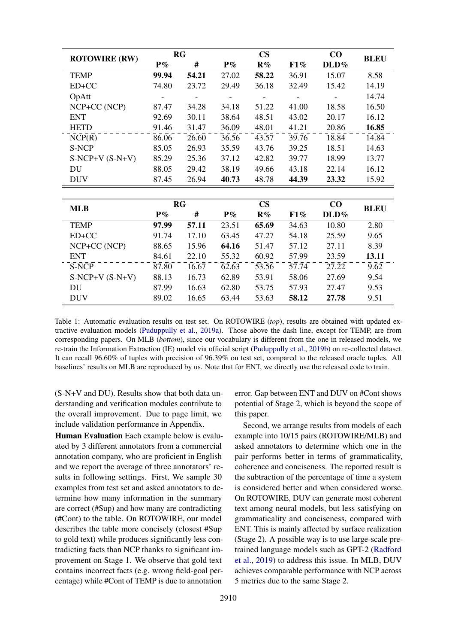<span id="page-5-0"></span>

| <b>ROTOWIRE (RW)</b> |       | RG        |                    | $\mathbf{CS}$          | $\bf CO$ | <b>BLEU</b>                     |                    |
|----------------------|-------|-----------|--------------------|------------------------|----------|---------------------------------|--------------------|
|                      | $P\%$ | #         | $P\%$              | R%                     | F1%      | DLD%                            |                    |
| <b>TEMP</b>          | 99.94 | 54.21     | 27.02              | 58.22                  | 36.91    | 15.07                           | 8.58               |
| $ED+CC$              | 74.80 | 23.72     | 29.49              | 36.18                  | 32.49    | 15.42                           | 14.19              |
| OpAtt                |       |           |                    |                        |          |                                 | 14.74              |
| NCP+CC (NCP)         | 87.47 | 34.28     | 34.18              | 51.22                  | 41.00    | 18.58                           | 16.50              |
| <b>ENT</b>           | 92.69 | 30.11     | 38.64              | 48.51                  | 43.02    | 20.17                           | 16.12              |
| <b>HETD</b>          | 91.46 | 31.47     | 36.09              | 48.01                  | 41.21    | 20.86                           | 16.85              |
| NCP(R)               | 86.06 | 26.60     | 36.56              | 43.57                  | 39.76    | 18.84                           | 14.84              |
| S-NCP                | 85.05 | 26.93     | 35.59              | 43.76                  | 39.25    | 18.51                           | 14.63              |
| $S-NCP+V(S-N+V)$     | 85.29 | 25.36     | 37.12              | 42.82                  | 39.77    | 18.99                           | 13.77              |
| DU                   | 88.05 | 29.42     | 38.19              | 49.66                  | 43.18    | 22.14                           | 16.12              |
| <b>DUV</b>           | 87.45 | 26.94     | 40.73              | 48.78                  | 44.39    | 23.32                           | 15.92              |
|                      |       |           |                    |                        |          |                                 |                    |
| <b>MLB</b>           |       | <b>RG</b> |                    | $\mathbf{C}\mathbf{S}$ | $\bf CO$ | <b>BLEU</b>                     |                    |
|                      | $P\%$ | #         | $P\%$              | R%                     | F1%      | DLD%                            |                    |
| <b>TEMP</b>          | 97.99 | 57.11     | 23.51              | 65.69                  | 34.63    | 10.80                           | 2.80               |
| ED+CC                | 91.74 | 17.10     | 63.45              | 47.27                  | 54.18    | 25.59                           | 9.65               |
| NCP+CC (NCP)         | 88.65 | 15.96     | 64.16              | 51.47                  | 57.12    | 27.11                           | 8.39               |
| <b>ENT</b>           | 84.61 | 22.10     | 55.32              | 60.92                  | 57.99    | 23.59                           | 13.11              |
| S-NCP                | 87.80 | 16.67     | $\overline{62.63}$ | $\overline{53.56}$     | 57.74    | $\bar{2}\bar{7}.\bar{2}\bar{2}$ | $\bar{9}.\bar{6}2$ |
| $S-NCP+V(S-N+V)$     | 88.13 | 16.73     | 62.89              | 53.91                  | 58.06    | 27.69                           | 9.54               |
| DU                   | 87.99 | 16.63     | 62.80              | 53.75                  | 57.93    | 27.47                           | 9.53               |
| <b>DUV</b>           | 89.02 | 16.65     | 63.44              | 53.63                  | 58.12    | 27.78                           | 9.51               |

Table 1: Automatic evaluation results on test set. On ROTOWIRE (*top*), results are obtained with updated extractive evaluation models [\(Puduppully et al.,](#page-8-5) [2019a\)](#page-8-5). Those above the dash line, except for TEMP, are from corresponding papers. On MLB (*bottom*), since our vocabulary is different from the one in released models, we re-train the Information Extraction (IE) model via official script [\(Puduppully et al.,](#page-9-1) [2019b\)](#page-9-1) on re-collected dataset. It can recall 96.60% of tuples with precision of 96.39% on test set, compared to the released oracle tuples. All baselines' results on MLB are reproduced by us. Note that for ENT, we directly use the released code to train.

(S-N+V and DU). Results show that both data understanding and verification modules contribute to the overall improvement. Due to page limit, we include validation performance in Appendix.

Human Evaluation Each example below is evaluated by 3 different annotators from a commercial annotation company, who are proficient in English and we report the average of three annotators' results in following settings. First, We sample 30 examples from test set and asked annotators to determine how many information in the summary are correct (#Sup) and how many are contradicting (#Cont) to the table. On ROTOWIRE, our model describes the table more concisely (closest #Sup to gold text) while produces significantly less contradicting facts than NCP thanks to significant improvement on Stage 1. We observe that gold text contains incorrect facts (e.g. wrong field-goal percentage) while #Cont of TEMP is due to annotation

error. Gap between ENT and DUV on #Cont shows potential of Stage 2, which is beyond the scope of this paper.

Second, we arrange results from models of each example into 10/15 pairs (ROTOWIRE/MLB) and asked annotators to determine which one in the pair performs better in terms of grammaticality, coherence and conciseness. The reported result is the subtraction of the percentage of time a system is considered better and when considered worse. On ROTOWIRE, DUV can generate most coherent text among neural models, but less satisfying on grammaticality and conciseness, compared with ENT. This is mainly affected by surface realization (Stage 2). A possible way is to use large-scale pretrained language models such as GPT-2 [\(Radford](#page-9-6) [et al.,](#page-9-6) [2019\)](#page-9-6) to address this issue. In MLB, DUV achieves comparable performance with NCP across 5 metrics due to the same Stage 2.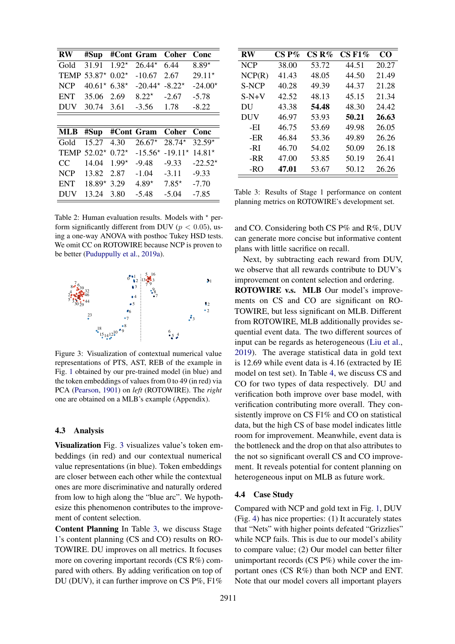| RW          | #Sup     |         | #Cont Gram | Coher        | Conc      |
|-------------|----------|---------|------------|--------------|-----------|
| Gold        | 31.91    | $1.92*$ | $26.44*$   | 6.44         | $8.89*$   |
| <b>TEMP</b> | 53.87*   | $0.02*$ | $-10.67$   | 2.67         | $29.11*$  |
| <b>NCP</b>  | $40.61*$ | $6.38*$ | $-20.44*$  | $-8.22*$     | $-24.00*$ |
| <b>ENT</b>  | 35.06    | 2.69    | $8.22*$    | $-2.67$      | $-5.78$   |
| <b>DUV</b>  | 30.74    | 3.61    | $-3.56$    | 1.78         | $-8.22$   |
|             |          |         |            |              |           |
|             |          |         |            |              |           |
| <b>MLB</b>  | #Sup     |         | #Cont Gram | <b>Coher</b> | Conc      |
| Gold        | 15.27    | 4.30    | $26.67*$   | $28.74*$     | $32.59*$  |
| <b>TEMP</b> | $52.02*$ | $0.72*$ | $-15.56*$  | $-19.11*$    | $14.81*$  |
| CC.         | 14.04    | $1.99*$ | $-9.48$    | $-9.33$      | $-22.52*$ |
| <b>NCP</b>  | 13.82    | 2.87    | $-1.04$    | $-3.11$      | $-9.33$   |
| <b>ENT</b>  | $18.89*$ | 3.29    | $4.89*$    | $7.85*$      | $-7.70$   |

Table 2: Human evaluation results. Models with  $*$  perform significantly different from DUV ( $p < 0.05$ ), using a one-way ANOVA with posthoc Tukey HSD tests. We omit CC on ROTOWIRE because NCP is proven to be better [\(Puduppully et al.,](#page-8-5) [2019a\)](#page-8-5).

<span id="page-6-1"></span>

Figure 3: Visualization of contextual numerical value representations of PTS, AST, REB of the example in Fig. [1](#page-0-0) obtained by our pre-trained model (in blue) and the token embeddings of values from 0 to 49 (in red) via PCA [\(Pearson,](#page-8-13) [1901\)](#page-8-13) on *left* (ROTOWIRE). The *right* one are obtained on a MLB's example (Appendix).

# 4.3 Analysis

Visualization Fig. [3](#page-6-1) visualizes value's token embeddings (in red) and our contextual numerical value representations (in blue). Token embeddings are closer between each other while the contextual ones are more discriminative and naturally ordered from low to high along the "blue arc". We hypothesize this phenomenon contributes to the improvement of content selection.

Content Planning In Table [3,](#page-6-0) we discuss Stage 1's content planning (CS and CO) results on RO-TOWIRE. DU improves on all metrics. It focuses more on covering important records (CS R%) compared with others. By adding verification on top of DU (DUV), it can further improve on CS P%, F1%

<span id="page-6-0"></span>

| RW         | $\mathbf{CS}\,\mathbf{P}\%$ | $CS R\%$ | $CS F1\%$ | CO    |
|------------|-----------------------------|----------|-----------|-------|
| <b>NCP</b> | 38.00                       | 53.72    | 44.51     | 20.27 |
| NCP(R)     | 41.43                       | 48.05    | 44.50     | 21.49 |
| S-NCP      | 40.28                       | 49.39    | 44.37     | 21.28 |
| $S-N+V$    | 42.52                       | 48.13    | 45.15     | 21.34 |
| DU         | 43.38                       | 54.48    | 48.30     | 24.42 |
| DUV        | 46.97                       | 53.93    | 50.21     | 26.63 |
| -EI        | 46.75                       | 53.69    | 49.98     | 26.05 |
| -ER        | 46.84                       | 53.36    | 49.89     | 26.26 |
| -RI        | 46.70                       | 54.02    | 50.09     | 26.18 |
| -RR        | 47.00                       | 53.85    | 50.19     | 26.41 |
| -RO        | 47.01                       | 53.67    | 50.12     | 26.26 |

Table 3: Results of Stage 1 performance on content planning metrics on ROTOWIRE's development set.

and CO. Considering both CS P% and R%, DUV can generate more concise but informative content plans with little sacrifice on recall.

Next, by subtracting each reward from DUV, we observe that all rewards contribute to DUV's improvement on content selection and ordering.

ROTOWIRE v.s. MLB Our model's improvements on CS and CO are significant on RO-TOWIRE, but less significant on MLB. Different from ROTOWIRE, MLB additionally provides sequential event data. The two different sources of input can be regards as heterogeneous [\(Liu et al.,](#page-8-14) [2019\)](#page-8-14). The average statistical data in gold text is 12.69 while event data is 4.16 (extracted by IE model on test set). In Table [4,](#page-7-0) we discuss CS and CO for two types of data respectively. DU and verification both improve over base model, with verification contributing more overall. They consistently improve on CS F1% and CO on statistical data, but the high CS of base model indicates little room for improvement. Meanwhile, event data is the bottleneck and the drop on that also attributes to the not so significant overall CS and CO improvement. It reveals potential for content planning on heterogeneous input on MLB as future work.

# 4.4 Case Study

Compared with NCP and gold text in Fig. [1,](#page-0-0) DUV (Fig. [4\)](#page-7-1) has nice properties: (1) It accurately states that "Nets" with higher points defeated "Grizzlies" while NCP fails. This is due to our model's ability to compare value; (2) Our model can better filter unimportant records (CS P%) while cover the important ones (CS R%) than both NCP and ENT. Note that our model covers all important players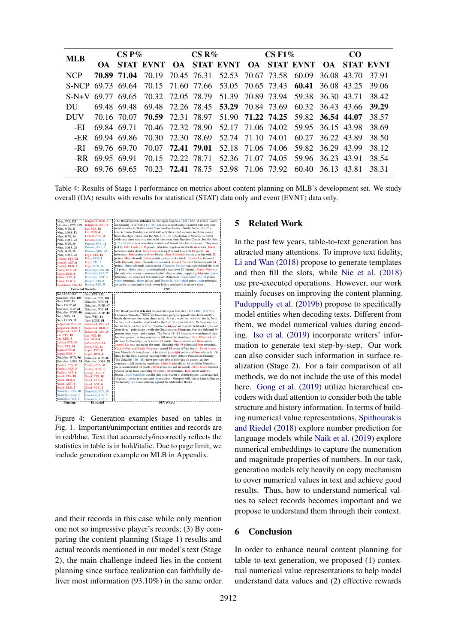<span id="page-7-0"></span>

| <b>MLB</b> | $CS P\%$          |             |  | $CS R\%$ |  |  | $CSF1\%$ |  |                                                                                    | CO <sub>1</sub> |  |       |
|------------|-------------------|-------------|--|----------|--|--|----------|--|------------------------------------------------------------------------------------|-----------------|--|-------|
|            |                   |             |  |          |  |  |          |  | OA STAT EVNT OA STAT EVNT OA STAT EVNT OA STAT EVNT                                |                 |  |       |
| <b>NCP</b> |                   | 70.89 71.04 |  |          |  |  |          |  | 70.19 70.45 76.31 52.53 70.67 73.58 60.09 36.08 43.70 37.91                        |                 |  |       |
|            |                   |             |  |          |  |  |          |  | S-NCP 69.73 69.64 70.15 71.60 77.66 53.05 70.65 73.43 60.41 36.08 43.25 39.06      |                 |  |       |
|            |                   |             |  |          |  |  |          |  | S-N+V 69.77 69.65 70.32 72.05 78.79 51.39 70.89 73.94 59.38 36.30 43.71 38.42      |                 |  |       |
| DU         |                   | 69.48 69.48 |  |          |  |  |          |  | 69.48 72.26 78.45 53.29 70.84 73.69 60.32 36.43 43.66                              |                 |  | 39.29 |
| DUV.       |                   |             |  |          |  |  |          |  | 70.16 70.07 70.59 72.31 78.97 51.90 71.22 74.25 59.82 36.54 44.07 38.57            |                 |  |       |
| -EI        |                   | 69.84 69.71 |  |          |  |  |          |  | 70.46 72.32 78.90 52.17 71.06 74.02 59.95 36.15 43.98                              |                 |  | 38.69 |
| -ER        |                   |             |  |          |  |  |          |  | 69.94 69.86 70.30 72.30 78.69 52.74 71.10 74.01 60.27 36.22 43.89                  |                 |  | 38.50 |
| -RI        |                   | 69.76 69.70 |  |          |  |  |          |  | 70.07 <b>72.41 79.01</b> 52.18 71.06 74.06 59.82 36.29 43.99                       |                 |  | 38.12 |
|            | $-RR$ 69.95 69.91 |             |  |          |  |  |          |  | 70.15 72.22 78.71 52.36 71.07 74.05 59.96 36.23 43.91                              |                 |  | 38.54 |
|            |                   |             |  |          |  |  |          |  | -RO 69.76 69.65 70.23 <b>72.41</b> 78.75 52.98 71.06 73.92 60.40 36.13 43.81 38.31 |                 |  |       |

Table 4: Results of Stage 1 performance on metrics about content planning on MLB's development set. We study overall (OA) results with results for statistical (STAT) data only and event (EVNT) data only.

<span id="page-7-1"></span>

| Nets, PTS, 122<br>Grizzlies, PTS, 109<br>Nets, WIN, 11<br>Nets, LOSS, 51<br>Nets, WIN, 36<br>Nets, LOSS, 28<br>Nets, WIN, 36<br>Nets, LOSS, 28<br>Nets, WIN, 36<br>Nets, LOSS, 28<br>Conley, PTS, 32<br>Conley, AST, 6<br>Conley, REB, 3<br>Gasol, PTS, 18<br>Gasol, REB. 6<br>Gasol, AST, 4<br>Gasol, BLK, 2<br>Kilpatrick, PTS, 23 | Kilpatrick, REB, 5<br>Kilpatrick, AST, 3<br>Lin, PTS, 18<br>Lin, REB, 4<br>LeVert, PTS, 14<br>LeVert, REB, 3<br>Parsons, PTS, 12<br>Parsons, AST, 3<br>Parsons, MIN. 22<br>Foye, PTS, 14<br>Foye, REB, 3<br>Foye, STL, 2<br>Foye, MIN, 16<br>Randolph, PTS, 10<br>Randolph, REB, 7<br>Randolph, AST, 3<br>Booker, PTS, 8<br>Booker, REB, 9 | The Brooklyn Nets defeated the Memphis Grizzlies, 122 - 109, at FedEx Forum<br>on Monday . The Nets $(11 - 51)$ checked in to Monday 's contest with only four<br>road victories in 34 tries away from Barclays Center, but the Nets $(36 - 28)$<br>checked in to Monday's contest with only three road victories in 16 tries away<br>from Barclays Center, but the Nets $(36 - 28)$ checked in to Monday 's contest<br>with only three road victories in 16 tries away from Barclays Center, but the Nets<br>$(36 - 28)$ have now won three straight and five of their last six games. They were<br>led by Mike Conley's 32 points, which he supplemented with six assists, three<br>rebounds and a steal . Marc Gasol was right behind him with 18 points, six<br>rebounds, four assists and two blocks. Sean Kilpatrick was next in line with 23<br>points, five rebounds, three assists, a steal and a block. Jeremy Lin followed<br>with 18 points, four rebounds and an assist. Caris LeVert led the bench with 14<br>points, three rebounds and an assist. Chandler Parsons was right behind him with<br>12 points, three assists, a rebound and a steal over 22 minutes. Randy Foye was<br>the only other starter to manage double - digit scoring, supplying 14 points, three<br>rebounds, an assist and two steals over 16 minutes. Zach Randolph (10 points,<br>seven rebounds, three assists) and Trevor Booker (eight points, nine rebounds,<br>an assist, a steal and a block) were highly productive in reserve roles. |
|--------------------------------------------------------------------------------------------------------------------------------------------------------------------------------------------------------------------------------------------------------------------------------------------------------------------------------------|--------------------------------------------------------------------------------------------------------------------------------------------------------------------------------------------------------------------------------------------------------------------------------------------------------------------------------------------|---------------------------------------------------------------------------------------------------------------------------------------------------------------------------------------------------------------------------------------------------------------------------------------------------------------------------------------------------------------------------------------------------------------------------------------------------------------------------------------------------------------------------------------------------------------------------------------------------------------------------------------------------------------------------------------------------------------------------------------------------------------------------------------------------------------------------------------------------------------------------------------------------------------------------------------------------------------------------------------------------------------------------------------------------------------------------------------------------------------------------------------------------------------------------------------------------------------------------------------------------------------------------------------------------------------------------------------------------------------------------------------------------------------------------------------------------------------------------------------------------------------------------------------|
| <b>Extracted Records</b>                                                                                                                                                                                                                                                                                                             |                                                                                                                                                                                                                                                                                                                                            | ENT                                                                                                                                                                                                                                                                                                                                                                                                                                                                                                                                                                                                                                                                                                                                                                                                                                                                                                                                                                                                                                                                                                                                                                                                                                                                                                                                                                                                                                                                                                                                   |
| Nets, PTS, 122                                                                                                                                                                                                                                                                                                                       | Nets, PTS, 122                                                                                                                                                                                                                                                                                                                             |                                                                                                                                                                                                                                                                                                                                                                                                                                                                                                                                                                                                                                                                                                                                                                                                                                                                                                                                                                                                                                                                                                                                                                                                                                                                                                                                                                                                                                                                                                                                       |
| Grizzlies, PTS, 109                                                                                                                                                                                                                                                                                                                  | Grizzlies, PTS, 109                                                                                                                                                                                                                                                                                                                        |                                                                                                                                                                                                                                                                                                                                                                                                                                                                                                                                                                                                                                                                                                                                                                                                                                                                                                                                                                                                                                                                                                                                                                                                                                                                                                                                                                                                                                                                                                                                       |
| Nets, FGP, 53                                                                                                                                                                                                                                                                                                                        | Grizzlies, FGP, 44                                                                                                                                                                                                                                                                                                                         |                                                                                                                                                                                                                                                                                                                                                                                                                                                                                                                                                                                                                                                                                                                                                                                                                                                                                                                                                                                                                                                                                                                                                                                                                                                                                                                                                                                                                                                                                                                                       |
| Nets, FG3P, 47<br>Grizzlies, FGP, 44                                                                                                                                                                                                                                                                                                 | Grizzlies, FG3P, 47                                                                                                                                                                                                                                                                                                                        |                                                                                                                                                                                                                                                                                                                                                                                                                                                                                                                                                                                                                                                                                                                                                                                                                                                                                                                                                                                                                                                                                                                                                                                                                                                                                                                                                                                                                                                                                                                                       |
| Grizzlies, FG3P, 40                                                                                                                                                                                                                                                                                                                  | Grizzlies, FGP, 44                                                                                                                                                                                                                                                                                                                         | The Brooklyn Nets defeated the host Memphis Grizzlies , 122 - 109, at FedEx                                                                                                                                                                                                                                                                                                                                                                                                                                                                                                                                                                                                                                                                                                                                                                                                                                                                                                                                                                                                                                                                                                                                                                                                                                                                                                                                                                                                                                                           |
| Nets, WIN, 11                                                                                                                                                                                                                                                                                                                        | Grizzlies, FG3P, 40<br>Nets, WIN, 11                                                                                                                                                                                                                                                                                                       | Forum on Thursday. These are two teams going in opposite directions and this                                                                                                                                                                                                                                                                                                                                                                                                                                                                                                                                                                                                                                                                                                                                                                                                                                                                                                                                                                                                                                                                                                                                                                                                                                                                                                                                                                                                                                                          |
| i Nets, LOSS, 51                                                                                                                                                                                                                                                                                                                     | Nets, LOSS, 51                                                                                                                                                                                                                                                                                                                             | result shows just how scary they can be. It was a wire - to - wire win for the Nets,                                                                                                                                                                                                                                                                                                                                                                                                                                                                                                                                                                                                                                                                                                                                                                                                                                                                                                                                                                                                                                                                                                                                                                                                                                                                                                                                                                                                                                                  |
| Kilpatrick, PTS, 23                                                                                                                                                                                                                                                                                                                  | Kilpatrick, PTS, 23                                                                                                                                                                                                                                                                                                                        | as they held a double - digit lead for the final 30 - plus minutes . Defense was key                                                                                                                                                                                                                                                                                                                                                                                                                                                                                                                                                                                                                                                                                                                                                                                                                                                                                                                                                                                                                                                                                                                                                                                                                                                                                                                                                                                                                                                  |
| Kilpatrick, REB, 5                                                                                                                                                                                                                                                                                                                   | Kilpatrick, REB, 5                                                                                                                                                                                                                                                                                                                         | for the Nets, as they held the Grizzlies to 44 percent from the field and 47 percent                                                                                                                                                                                                                                                                                                                                                                                                                                                                                                                                                                                                                                                                                                                                                                                                                                                                                                                                                                                                                                                                                                                                                                                                                                                                                                                                                                                                                                                  |
| Kilpatrick, AST, 3                                                                                                                                                                                                                                                                                                                   | Kilpatrick, AST, 3                                                                                                                                                                                                                                                                                                                         | from three - point range, while the Grizzlies shot 44 percent from the field and 40                                                                                                                                                                                                                                                                                                                                                                                                                                                                                                                                                                                                                                                                                                                                                                                                                                                                                                                                                                                                                                                                                                                                                                                                                                                                                                                                                                                                                                                   |
| Lin. PTS. 18                                                                                                                                                                                                                                                                                                                         | Lin. PTS. 18                                                                                                                                                                                                                                                                                                                               | percent from three - point range. The Nets $(11 - 51)$ have now won three of their                                                                                                                                                                                                                                                                                                                                                                                                                                                                                                                                                                                                                                                                                                                                                                                                                                                                                                                                                                                                                                                                                                                                                                                                                                                                                                                                                                                                                                                    |
| Lin. REB. 4                                                                                                                                                                                                                                                                                                                          | Lin. REB. 4                                                                                                                                                                                                                                                                                                                                | last four games, as they continue to fall down the standings . Sean Kilpatrick led                                                                                                                                                                                                                                                                                                                                                                                                                                                                                                                                                                                                                                                                                                                                                                                                                                                                                                                                                                                                                                                                                                                                                                                                                                                                                                                                                                                                                                                    |
| LeVert, PTS, 14                                                                                                                                                                                                                                                                                                                      | LeVert, PTS, 14                                                                                                                                                                                                                                                                                                                            | the way for Brooklyn, as he tallied 23 points, five rebounds and three assists.                                                                                                                                                                                                                                                                                                                                                                                                                                                                                                                                                                                                                                                                                                                                                                                                                                                                                                                                                                                                                                                                                                                                                                                                                                                                                                                                                                                                                                                       |
| Foye, PTS, 14                                                                                                                                                                                                                                                                                                                        | Foye, PTS, 14                                                                                                                                                                                                                                                                                                                              | Jeremy Lin was second on the team . finishing with 18 points and four rebounds.                                                                                                                                                                                                                                                                                                                                                                                                                                                                                                                                                                                                                                                                                                                                                                                                                                                                                                                                                                                                                                                                                                                                                                                                                                                                                                                                                                                                                                                       |
| Lopez, PTS, 8                                                                                                                                                                                                                                                                                                                        | Lopez, PTS, 8                                                                                                                                                                                                                                                                                                                              | Caris LeVert and Randy Foye each scored 14 points off the bench. Brook Lopez                                                                                                                                                                                                                                                                                                                                                                                                                                                                                                                                                                                                                                                                                                                                                                                                                                                                                                                                                                                                                                                                                                                                                                                                                                                                                                                                                                                                                                                          |
| Lopez, REB, 4                                                                                                                                                                                                                                                                                                                        | Lopez, REB, 4                                                                                                                                                                                                                                                                                                                              | was Memphis's best player, as he totaled just eight points and four rebounds. On                                                                                                                                                                                                                                                                                                                                                                                                                                                                                                                                                                                                                                                                                                                                                                                                                                                                                                                                                                                                                                                                                                                                                                                                                                                                                                                                                                                                                                                      |
| Grizzlies, WIN, 36                                                                                                                                                                                                                                                                                                                   | !Grizzlies, WIN, 36                                                                                                                                                                                                                                                                                                                        | deck for the Nets is a road matchup with the New Orleans Pelicans on Monday.                                                                                                                                                                                                                                                                                                                                                                                                                                                                                                                                                                                                                                                                                                                                                                                                                                                                                                                                                                                                                                                                                                                                                                                                                                                                                                                                                                                                                                                          |
| Grizzlies, LOSS, 28                                                                                                                                                                                                                                                                                                                  | Grizzlies, LOSS, 28                                                                                                                                                                                                                                                                                                                        | The Grizzlies $(36 - 28)$ have now won five of their last six games, as they                                                                                                                                                                                                                                                                                                                                                                                                                                                                                                                                                                                                                                                                                                                                                                                                                                                                                                                                                                                                                                                                                                                                                                                                                                                                                                                                                                                                                                                          |
| Conley, PTS, 32                                                                                                                                                                                                                                                                                                                      | Conley, PTS, 32                                                                                                                                                                                                                                                                                                                            | continue to fall down the standings . Mike Conley did all he could for Memphis,                                                                                                                                                                                                                                                                                                                                                                                                                                                                                                                                                                                                                                                                                                                                                                                                                                                                                                                                                                                                                                                                                                                                                                                                                                                                                                                                                                                                                                                       |
| Conley, REB, 3                                                                                                                                                                                                                                                                                                                       | Conley, REB, 3                                                                                                                                                                                                                                                                                                                             | as he accumulated 32 points, three rebounds and six assists. Marc Gasol finished                                                                                                                                                                                                                                                                                                                                                                                                                                                                                                                                                                                                                                                                                                                                                                                                                                                                                                                                                                                                                                                                                                                                                                                                                                                                                                                                                                                                                                                      |
| Conley, AST, 6                                                                                                                                                                                                                                                                                                                       | Conley, AST, 6                                                                                                                                                                                                                                                                                                                             | second on the team, accruing 18 points, six rebounds, four assists and two                                                                                                                                                                                                                                                                                                                                                                                                                                                                                                                                                                                                                                                                                                                                                                                                                                                                                                                                                                                                                                                                                                                                                                                                                                                                                                                                                                                                                                                            |
| Gasol, PTS, 18                                                                                                                                                                                                                                                                                                                       | Gasol, PTS, 18                                                                                                                                                                                                                                                                                                                             | blocks . Zach Randolph was the only other starter in double figures , as he accrued                                                                                                                                                                                                                                                                                                                                                                                                                                                                                                                                                                                                                                                                                                                                                                                                                                                                                                                                                                                                                                                                                                                                                                                                                                                                                                                                                                                                                                                   |
| Gasol, REB, 6                                                                                                                                                                                                                                                                                                                        | Gasol, REB. 6                                                                                                                                                                                                                                                                                                                              | 10 points, seven rebounds and three assists. Memphis will look to keep rolling on                                                                                                                                                                                                                                                                                                                                                                                                                                                                                                                                                                                                                                                                                                                                                                                                                                                                                                                                                                                                                                                                                                                                                                                                                                                                                                                                                                                                                                                     |
| Gasol, AST, 4                                                                                                                                                                                                                                                                                                                        | Gasol, AST, 4                                                                                                                                                                                                                                                                                                                              | Wednesday in a home matchup against the Milwaukee Bucks.                                                                                                                                                                                                                                                                                                                                                                                                                                                                                                                                                                                                                                                                                                                                                                                                                                                                                                                                                                                                                                                                                                                                                                                                                                                                                                                                                                                                                                                                              |
| Gasol, BLK, 2                                                                                                                                                                                                                                                                                                                        | Gasol, BLK. 2                                                                                                                                                                                                                                                                                                                              |                                                                                                                                                                                                                                                                                                                                                                                                                                                                                                                                                                                                                                                                                                                                                                                                                                                                                                                                                                                                                                                                                                                                                                                                                                                                                                                                                                                                                                                                                                                                       |
| Randolph, PTS, 10                                                                                                                                                                                                                                                                                                                    | Randolph, PTS, 10                                                                                                                                                                                                                                                                                                                          |                                                                                                                                                                                                                                                                                                                                                                                                                                                                                                                                                                                                                                                                                                                                                                                                                                                                                                                                                                                                                                                                                                                                                                                                                                                                                                                                                                                                                                                                                                                                       |
| Randolph, REB, 7                                                                                                                                                                                                                                                                                                                     | Randolph, REB, 7                                                                                                                                                                                                                                                                                                                           |                                                                                                                                                                                                                                                                                                                                                                                                                                                                                                                                                                                                                                                                                                                                                                                                                                                                                                                                                                                                                                                                                                                                                                                                                                                                                                                                                                                                                                                                                                                                       |
| Randolph, AST, 3                                                                                                                                                                                                                                                                                                                     | Randolph, AST. 3                                                                                                                                                                                                                                                                                                                           |                                                                                                                                                                                                                                                                                                                                                                                                                                                                                                                                                                                                                                                                                                                                                                                                                                                                                                                                                                                                                                                                                                                                                                                                                                                                                                                                                                                                                                                                                                                                       |
| <b>Planning</b>                                                                                                                                                                                                                                                                                                                      | <b>Extracted</b>                                                                                                                                                                                                                                                                                                                           | DUV (Ours)                                                                                                                                                                                                                                                                                                                                                                                                                                                                                                                                                                                                                                                                                                                                                                                                                                                                                                                                                                                                                                                                                                                                                                                                                                                                                                                                                                                                                                                                                                                            |

Figure 4: Generation examples based on tables in Fig. [1.](#page-0-0) Important/unimportant entities and records are in red/blue. Text that accurately/incorrectly reflects the statistics in table is in bold/italic. Due to page limit, we include generation example on MLB in Appendix.

and their records in this case while only mention one not so impressive player's records; (3) By comparing the content planning (Stage 1) results and actual records mentioned in our model's text (Stage 2), the main challenge indeed lies in the content planning since surface realization can faithfully deliver most information (93.10%) in the same order.

# 5 Related Work

In the past few years, table-to-text generation has attracted many attentions. To improve text fidelity, [Li and Wan](#page-8-15) [\(2018\)](#page-8-15) propose to generate templates and then fill the slots, while [Nie et al.](#page-8-2) [\(2018\)](#page-8-2) use pre-executed operations. However, our work mainly focuses on improving the content planning. [Puduppully et al.](#page-9-1) [\(2019b\)](#page-9-1) propose to specifically model entities when decoding texts. Different from them, we model numerical values during encoding. [Iso et al.](#page-8-16) [\(2019\)](#page-8-16) incorporate writers' information to generate text step-by-step. Our work can also consider such information in surface realization (Stage 2). For a fair comparison of all methods, we do not include the use of this model here. [Gong et al.](#page-8-3) [\(2019\)](#page-8-3) utilize hierarchical encoders with dual attention to consider both the table structure and history information. In terms of building numerical value representations, [Spithourakis](#page-9-7) [and Riedel](#page-9-7) [\(2018\)](#page-9-7) explore number prediction for language models while [Naik et al.](#page-8-17) [\(2019\)](#page-8-17) explore numerical embeddings to capture the numeration and magnitude properties of numbers. In our task, generation models rely heavily on copy mechanism to cover numerical values in text and achieve good results. Thus, how to understand numerical values to select records becomes important and we propose to understand them through their context.

#### 6 Conclusion

In order to enhance neural content planning for table-to-text generation, we proposed (1) contextual numerical value representations to help model understand data values and (2) effective rewards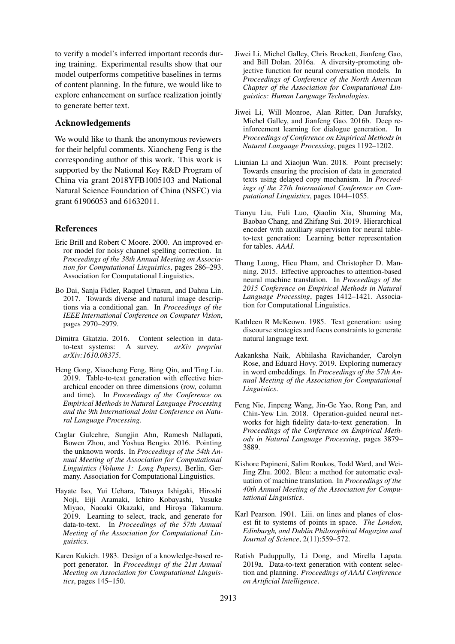to verify a model's inferred important records during training. Experimental results show that our model outperforms competitive baselines in terms of content planning. In the future, we would like to explore enhancement on surface realization jointly to generate better text.

# Acknowledgements

We would like to thank the anonymous reviewers for their helpful comments. Xiaocheng Feng is the corresponding author of this work. This work is supported by the National Key R&D Program of China via grant 2018YFB1005103 and National Natural Science Foundation of China (NSFC) via grant 61906053 and 61632011.

# References

- <span id="page-8-11"></span>Eric Brill and Robert C Moore. 2000. An improved error model for noisy channel spelling correction. In *Proceedings of the 38th Annual Meeting on Association for Computational Linguistics*, pages 286–293. Association for Computational Linguistics.
- <span id="page-8-9"></span>Bo Dai, Sanja Fidler, Raquel Urtasun, and Dahua Lin. 2017. Towards diverse and natural image descriptions via a conditional gan. In *Proceedings of the IEEE International Conference on Computer Vision*, pages 2970–2979.
- <span id="page-8-4"></span>Dimitra Gkatzia. 2016. Content selection in datato-text systems: A survey. *arXiv preprint arXiv:1610.08375*.
- <span id="page-8-3"></span>Heng Gong, Xiaocheng Feng, Bing Qin, and Ting Liu. 2019. Table-to-text generation with effective hierarchical encoder on three dimensions (row, column and time). In *Proceedings of the Conference on Empirical Methods in Natural Language Processing and the 9th International Joint Conference on Natural Language Processing*.
- <span id="page-8-7"></span>Caglar Gulcehre, Sungjin Ahn, Ramesh Nallapati, Bowen Zhou, and Yoshua Bengio. 2016. Pointing the unknown words. In *Proceedings of the 54th Annual Meeting of the Association for Computational Linguistics (Volume 1: Long Papers)*, Berlin, Germany. Association for Computational Linguistics.
- <span id="page-8-16"></span>Hayate Iso, Yui Uehara, Tatsuya Ishigaki, Hiroshi Noji, Eiji Aramaki, Ichiro Kobayashi, Yusuke Miyao, Naoaki Okazaki, and Hiroya Takamura. 2019. Learning to select, track, and generate for data-to-text. In *Proceedings of the 57th Annual Meeting of the Association for Computational Linguistics*.
- <span id="page-8-0"></span>Karen Kukich. 1983. Design of a knowledge-based report generator. In *Proceedings of the 21st Annual Meeting on Association for Computational Linguistics*, pages 145–150.
- <span id="page-8-8"></span>Jiwei Li, Michel Galley, Chris Brockett, Jianfeng Gao, and Bill Dolan. 2016a. A diversity-promoting objective function for neural conversation models. In *Proceedings of Conference of the North American Chapter of the Association for Computational Linguistics: Human Language Technologies*.
- <span id="page-8-10"></span>Jiwei Li, Will Monroe, Alan Ritter, Dan Jurafsky, Michel Galley, and Jianfeng Gao. 2016b. Deep reinforcement learning for dialogue generation. In *Proceedings of Conference on Empirical Methods in Natural Language Processing*, pages 1192–1202.
- <span id="page-8-15"></span>Liunian Li and Xiaojun Wan. 2018. Point precisely: Towards ensuring the precision of data in generated texts using delayed copy mechanism. In *Proceedings of the 27th International Conference on Computational Linguistics*, pages 1044–1055.
- <span id="page-8-14"></span>Tianyu Liu, Fuli Luo, Qiaolin Xia, Shuming Ma, Baobao Chang, and Zhifang Sui. 2019. Hierarchical encoder with auxiliary supervision for neural tableto-text generation: Learning better representation for tables. *AAAI*.
- <span id="page-8-6"></span>Thang Luong, Hieu Pham, and Christopher D. Manning. 2015. Effective approaches to attention-based neural machine translation. In *Proceedings of the 2015 Conference on Empirical Methods in Natural Language Processing*, pages 1412–1421. Association for Computational Linguistics.
- <span id="page-8-1"></span>Kathleen R McKeown. 1985. Text generation: using discourse strategies and focus constraints to generate natural language text.
- <span id="page-8-17"></span>Aakanksha Naik, Abhilasha Ravichander, Carolyn Rose, and Eduard Hovy. 2019. Exploring numeracy in word embeddings. In *Proceedings of the 57th Annual Meeting of the Association for Computational Linguistics*.
- <span id="page-8-2"></span>Feng Nie, Jinpeng Wang, Jin-Ge Yao, Rong Pan, and Chin-Yew Lin. 2018. Operation-guided neural networks for high fidelity data-to-text generation. In *Proceedings of the Conference on Empirical Methods in Natural Language Processing*, pages 3879– 3889.
- <span id="page-8-12"></span>Kishore Papineni, Salim Roukos, Todd Ward, and Wei-Jing Zhu. 2002. Bleu: a method for automatic evaluation of machine translation. In *Proceedings of the 40th Annual Meeting of the Association for Computational Linguistics*.
- <span id="page-8-13"></span>Karl Pearson. 1901. Liii. on lines and planes of closest fit to systems of points in space. *The London, Edinburgh, and Dublin Philosophical Magazine and Journal of Science*, 2(11):559–572.
- <span id="page-8-5"></span>Ratish Puduppully, Li Dong, and Mirella Lapata. 2019a. Data-to-text generation with content selection and planning. *Proceedings of AAAI Conference on Artificial Intelligence*.